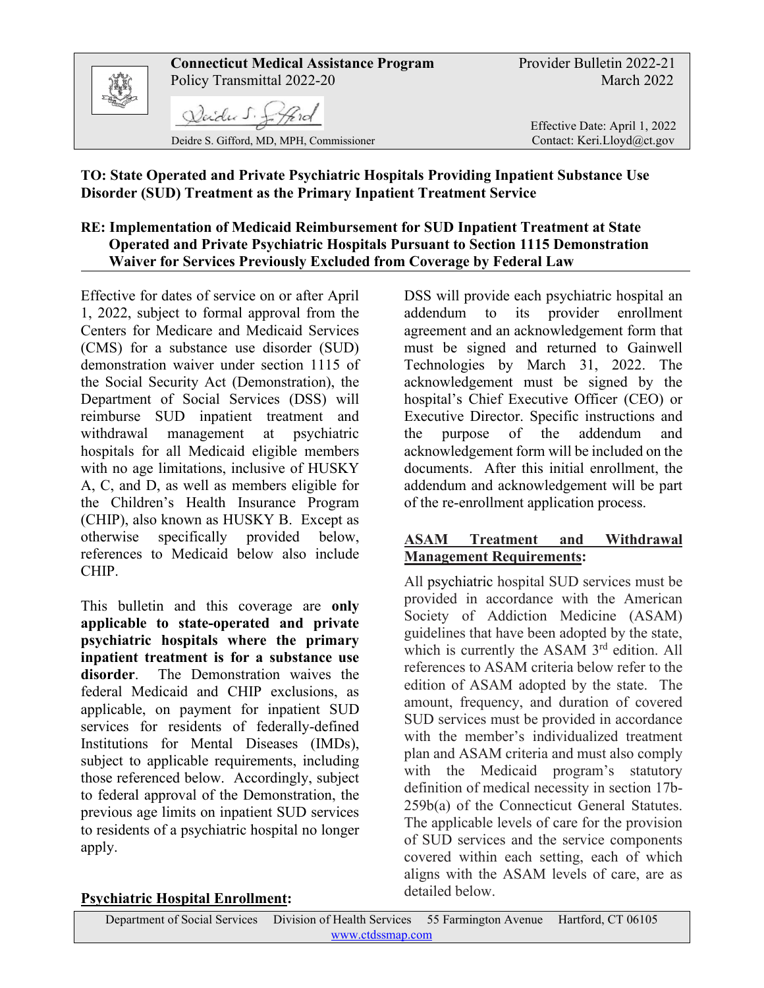

### **TO: State Operated and Private Psychiatric Hospitals Providing Inpatient Substance Use Disorder (SUD) Treatment as the Primary Inpatient Treatment Service**

## **RE: Implementation of Medicaid Reimbursement for SUD Inpatient Treatment at State Operated and Private Psychiatric Hospitals Pursuant to Section 1115 Demonstration Waiver for Services Previously Excluded from Coverage by Federal Law**

Effective for dates of service on or after April 1, 2022, subject to formal approval from the Centers for Medicare and Medicaid Services (CMS) for a substance use disorder (SUD) demonstration waiver under section 1115 of the Social Security Act (Demonstration), the Department of Social Services (DSS) will reimburse SUD inpatient treatment and withdrawal management at psychiatric hospitals for all Medicaid eligible members with no age limitations, inclusive of HUSKY A, C, and D, as well as members eligible for the Children's Health Insurance Program (CHIP), also known as HUSKY B. Except as otherwise specifically provided below, references to Medicaid below also include CHIP.

This bulletin and this coverage are **only applicable to state-operated and private psychiatric hospitals where the primary inpatient treatment is for a substance use disorder**. The Demonstration waives the federal Medicaid and CHIP exclusions, as applicable, on payment for inpatient SUD services for residents of federally-defined Institutions for Mental Diseases (IMDs), subject to applicable requirements, including those referenced below. Accordingly, subject to federal approval of the Demonstration, the previous age limits on inpatient SUD services to residents of a psychiatric hospital no longer apply.

DSS will provide each psychiatric hospital an addendum to its provider enrollment agreement and an acknowledgement form that must be signed and returned to Gainwell Technologies by March 31, 2022. The acknowledgement must be signed by the hospital's Chief Executive Officer (CEO) or Executive Director. Specific instructions and the purpose of the addendum and acknowledgement form will be included on the documents. After this initial enrollment, the addendum and acknowledgement will be part of the re-enrollment application process.

## **ASAM Treatment and Withdrawal Management Requirements:**

All psychiatric hospital SUD services must be provided in accordance with the American Society of Addiction Medicine (ASAM) guidelines that have been adopted by the state, which is currently the ASAM 3<sup>rd</sup> edition. All references to ASAM criteria below refer to the edition of ASAM adopted by the state. The amount, frequency, and duration of covered SUD services must be provided in accordance with the member's individualized treatment plan and ASAM criteria and must also comply with the Medicaid program's statutory definition of medical necessity in section 17b-259b(a) of the Connecticut General Statutes. The applicable levels of care for the provision of SUD services and the service components covered within each setting, each of which aligns with the ASAM levels of care, are as detailed below.

### **Psychiatric Hospital Enrollment:**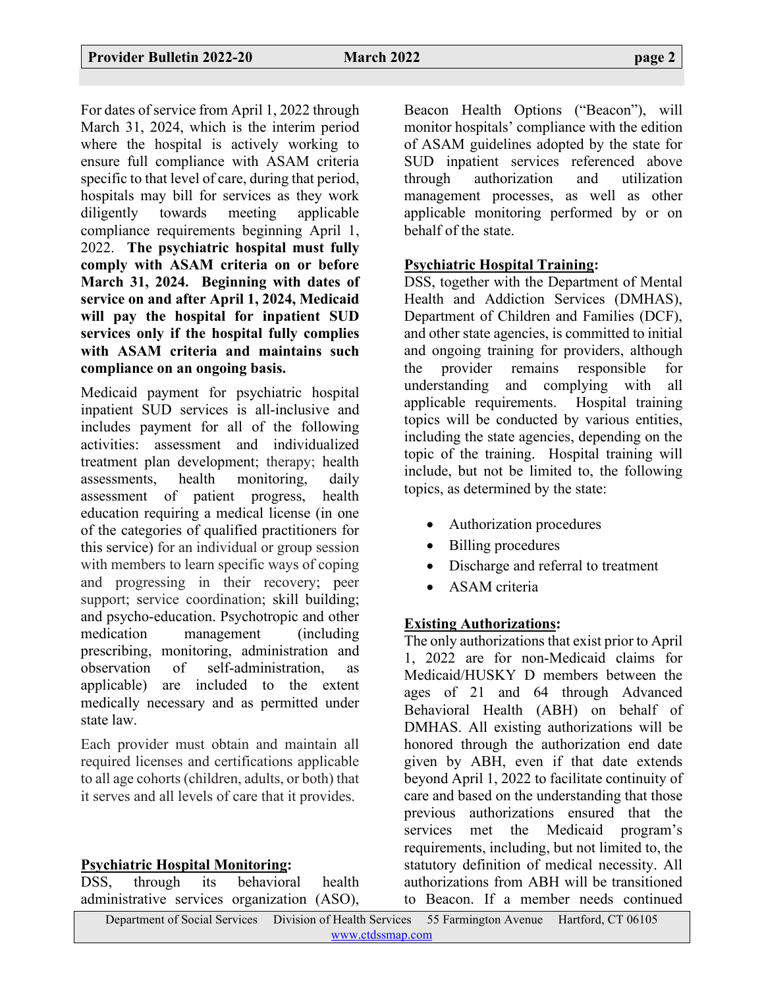For dates of service from April 1, 2022 through March 31, 2024, which is the interim period where the hospital is actively working to ensure full compliance with ASAM criteria specific to that level of care, during that period, hospitals may bill for services as they work diligently towards meeting applicable compliance requirements beginning April 1, 2022. **The psychiatric hospital must fully comply with ASAM criteria on or before March 31, 2024. Beginning with dates of service on and after April 1, 2024, Medicaid will pay the hospital for inpatient SUD services only if the hospital fully complies with ASAM criteria and maintains such compliance on an ongoing basis.**

Medicaid payment for psychiatric hospital inpatient SUD services is all-inclusive and includes payment for all of the following activities: assessment and individualized treatment plan development; therapy; health assessments, health monitoring, daily assessment of patient progress, health education requiring a medical license (in one of the categories of qualified practitioners for this service) for an individual or group session with members to learn specific ways of coping and progressing in their recovery; peer support; service coordination; skill building; and psycho-education. Psychotropic and other medication management (including prescribing, monitoring, administration and observation of self-administration, as applicable) are included to the extent medically necessary and as permitted under state law.

Each provider must obtain and maintain all required licenses and certifications applicable to all age cohorts (children, adults, or both) that it serves and all levels of care that it provides.

### **Psychiatric Hospital Monitoring:**

DSS, through its behavioral health administrative services organization (ASO),

Beacon Health Options ("Beacon"), will monitor hospitals' compliance with the edition of ASAM guidelines adopted by the state for SUD inpatient services referenced above through authorization and utilization management processes, as well as other applicable monitoring performed by or on behalf of the state.

#### **Psychiatric Hospital Training:**

DSS, together with the Department of Mental Health and Addiction Services (DMHAS), Department of Children and Families (DCF), and other state agencies, is committed to initial and ongoing training for providers, although the provider remains responsible for understanding and complying with all applicable requirements. Hospital training topics will be conducted by various entities, including the state agencies, depending on the topic of the training. Hospital training will include, but not be limited to, the following topics, as determined by the state:

- Authorization procedures
- Billing procedures
- Discharge and referral to treatment
- ASAM criteria

# **Existing Authorizations:**

The only authorizations that exist prior to April 1, 2022 are for non-Medicaid claims for Medicaid/HUSKY D members between the ages of 21 and 64 through Advanced Behavioral Health (ABH) on behalf of DMHAS. All existing authorizations will be honored through the authorization end date given by ABH, even if that date extends beyond April 1, 2022 to facilitate continuity of care and based on the understanding that those previous authorizations ensured that the services met the Medicaid program's requirements, including, but not limited to, the statutory definition of medical necessity. All authorizations from ABH will be transitioned to Beacon. If a member needs continued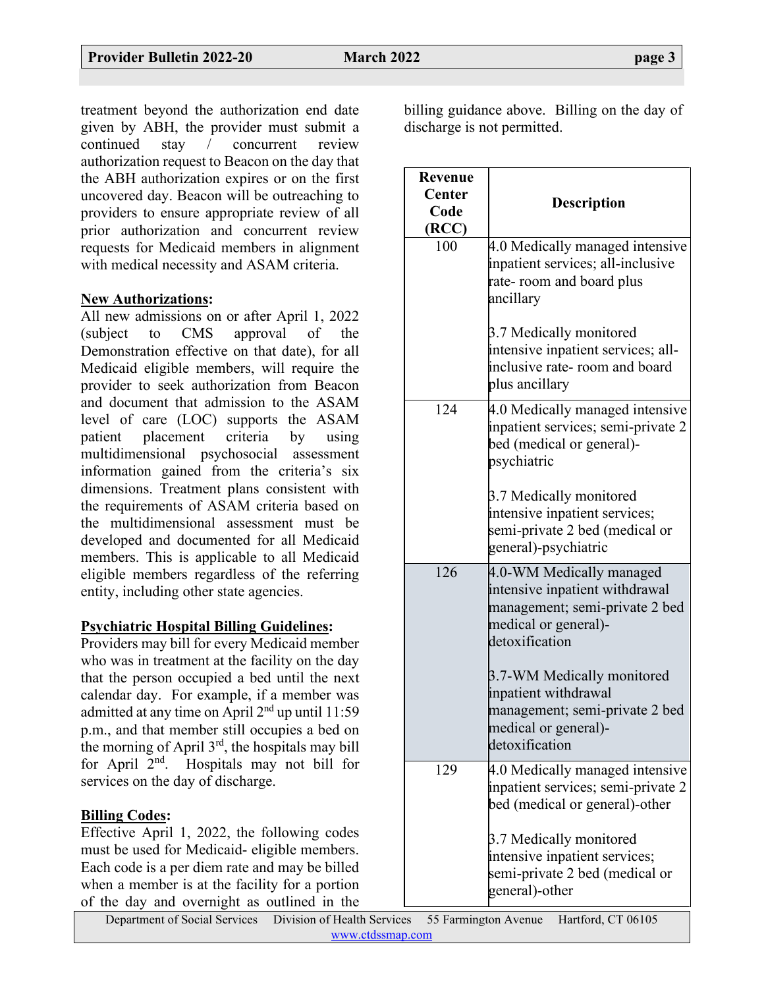treatment beyond the authorization end date given by ABH, the provider must submit a continued stay / concurrent review authorization request to Beacon on the day that the ABH authorization expires or on the first uncovered day. Beacon will be outreaching to providers to ensure appropriate review of all prior authorization and concurrent review requests for Medicaid members in alignment with medical necessity and ASAM criteria.

### **New Authorizations:**

All new admissions on or after April 1, 2022 (subject to CMS approval of the Demonstration effective on that date), for all Medicaid eligible members, will require the provider to seek authorization from Beacon and document that admission to the ASAM level of care (LOC) supports the ASAM patient placement criteria by using multidimensional psychosocial assessment information gained from the criteria's six dimensions. Treatment plans consistent with the requirements of ASAM criteria based on the multidimensional assessment must be developed and documented for all Medicaid members. This is applicable to all Medicaid eligible members regardless of the referring entity, including other state agencies.

### **Psychiatric Hospital Billing Guidelines:**

Providers may bill for every Medicaid member who was in treatment at the facility on the day that the person occupied a bed until the next calendar day. For example, if a member was admitted at any time on April 2nd up until 11:59 p.m., and that member still occupies a bed on the morning of April  $3<sup>rd</sup>$ , the hospitals may bill for April  $2<sup>nd</sup>$ . Hospitals may not bill for services on the day of discharge.

### **Billing Codes:**

Effective April 1, 2022, the following codes must be used for Medicaid- eligible members. Each code is a per diem rate and may be billed when a member is at the facility for a portion of the day and overnight as outlined in the billing guidance above. Billing on the day of discharge is not permitted.

| Revenue<br><b>Center</b><br>Code<br>(RCC) | <b>Description</b>                                                                                                                     |
|-------------------------------------------|----------------------------------------------------------------------------------------------------------------------------------------|
| 100                                       | 4.0 Medically managed intensive<br>inpatient services; all-inclusive<br>rate- room and board plus<br>ancillary                         |
|                                           | 3.7 Medically monitored<br>intensive inpatient services; all-<br>inclusive rate- room and board<br>plus ancillary                      |
| 124                                       | 4.0 Medically managed intensive<br>inpatient services; semi-private 2<br>bed (medical or general)-<br>psychiatric                      |
|                                           | 3.7 Medically monitored<br>intensive inpatient services;<br>semi-private 2 bed (medical or<br>general)-psychiatric                     |
| 126                                       | 4.0-WM Medically managed<br>intensive inpatient withdrawal<br>management; semi-private 2 bed<br>medical or general)-<br>detoxification |
|                                           | 3.7-WM Medically monitored<br>inpatient withdrawal<br>management; semi-private 2 bed<br>medical or general)-<br>detoxification         |
| 129                                       | 4.0 Medically managed intensive<br>inpatient services; semi-private 2<br>bed (medical or general)-other                                |
|                                           | 3.7 Medically monitored<br>intensive inpatient services;<br>semi-private 2 bed (medical or<br>general)-other                           |

Department of Social Services Division of Health Services 55 Farmington Avenue Hartford, CT 06105 [www.ctdssmap.com](https://www.ctdssmap.com/)